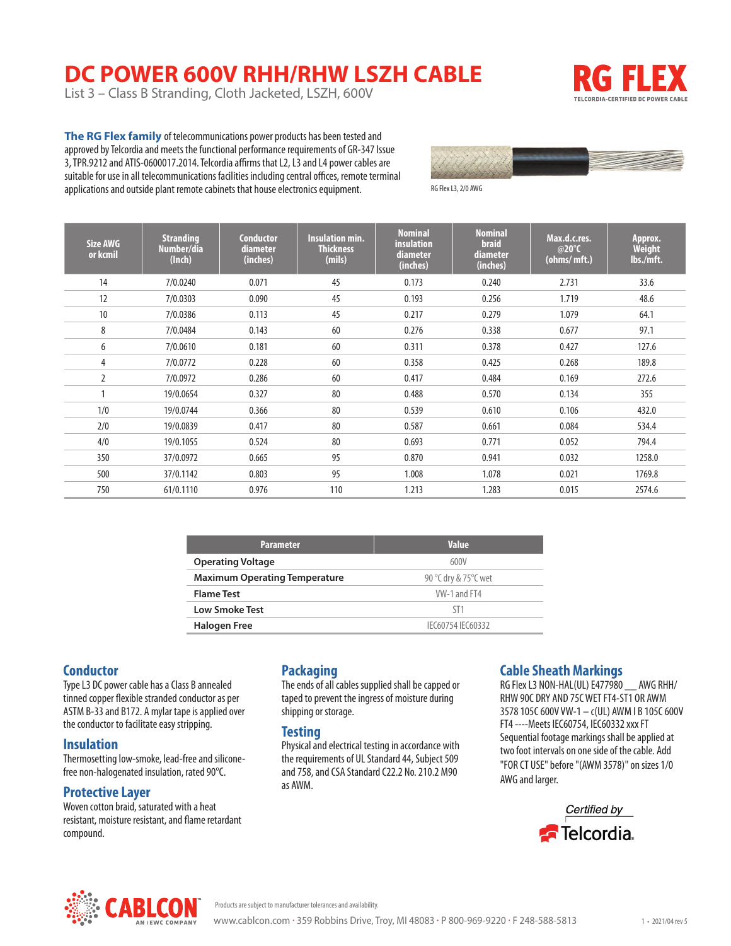# **DC POWER 600V RHH/RHW LSZH CABLE**

List 3 – Class B Stranding, Cloth Jacketed, LSZH, 600V



**The RG Flex family** of telecommunications power products has been tested and approved by Telcordia and meets the functional performance requirements of GR-347 Issue 3, TPR.9212 and ATIS-0600017.2014. Telcordia affirms that L2, L3 and L4 power cables are suitable for use in all telecommunications facilities including central offices, remote terminal applications and outside plant remote cabinets that house electronics equipment.



RG Flex L3, 2/0 AWG

| Size AWG<br>or kcmil | <b>Stranding</b><br>Number/dia<br>(Inch) | <b>Conductor</b><br>diameter<br>(inches) | <b>Insulation min.</b><br><b>Thickness</b><br>(mils) | <b>Nominal</b><br>insulation<br>diameter<br>(inches) | <b>Nominal</b><br><b>braid</b><br>diameter<br>(inches) | Max.d.c.res.<br>@20°C<br>(ohms/mft.) | Approx.<br><b>Weight</b><br>lbs./mft. |
|----------------------|------------------------------------------|------------------------------------------|------------------------------------------------------|------------------------------------------------------|--------------------------------------------------------|--------------------------------------|---------------------------------------|
| 14                   | 7/0.0240                                 | 0.071                                    | 45                                                   | 0.173                                                | 0.240                                                  | 2.731                                | 33.6                                  |
| 12                   | 7/0.0303                                 | 0.090                                    | 45                                                   | 0.193                                                | 0.256                                                  | 1.719                                | 48.6                                  |
| 10                   | 7/0.0386                                 | 0.113                                    | 45                                                   | 0.217                                                | 0.279                                                  | 1.079                                | 64.1                                  |
| 8                    | 7/0.0484                                 | 0.143                                    | 60                                                   | 0.276                                                | 0.338                                                  | 0.677                                | 97.1                                  |
| 6                    | 7/0.0610                                 | 0.181                                    | 60                                                   | 0.311                                                | 0.378                                                  | 0.427                                | 127.6                                 |
| 4                    | 7/0.0772                                 | 0.228                                    | 60                                                   | 0.358                                                | 0.425                                                  | 0.268                                | 189.8                                 |
| $\overline{2}$       | 7/0.0972                                 | 0.286                                    | 60                                                   | 0.417                                                | 0.484                                                  | 0.169                                | 272.6                                 |
|                      | 19/0.0654                                | 0.327                                    | 80                                                   | 0.488                                                | 0.570                                                  | 0.134                                | 355                                   |
| 1/0                  | 19/0.0744                                | 0.366                                    | 80                                                   | 0.539                                                | 0.610                                                  | 0.106                                | 432.0                                 |
| 2/0                  | 19/0.0839                                | 0.417                                    | 80                                                   | 0.587                                                | 0.661                                                  | 0.084                                | 534.4                                 |
| 4/0                  | 19/0.1055                                | 0.524                                    | 80                                                   | 0.693                                                | 0.771                                                  | 0.052                                | 794.4                                 |
| 350                  | 37/0.0972                                | 0.665                                    | 95                                                   | 0.870                                                | 0.941                                                  | 0.032                                | 1258.0                                |
| 500                  | 37/0.1142                                | 0.803                                    | 95                                                   | 1.008                                                | 1.078                                                  | 0.021                                | 1769.8                                |
| 750                  | 61/0.1110                                | 0.976                                    | 110                                                  | 1.213                                                | 1.283                                                  | 0.015                                | 2574.6                                |

| <b>Parameter</b>                     | <b>Value</b>          |
|--------------------------------------|-----------------------|
| <b>Operating Voltage</b>             | 600V                  |
| <b>Maximum Operating Temperature</b> | 90 °C dry & 75 °C wet |
| <b>Flame Test</b>                    | VW-1 and FT4          |
| <b>Low Smoke Test</b>                | ST <sub>1</sub>       |
| <b>Halogen Free</b>                  | IFC60754 IFC60332     |

## **Conductor**

Type L3 DC power cable has a Class B annealed tinned copper flexible stranded conductor as per ASTM B-33 and B172. A mylar tape is applied over the conductor to facilitate easy stripping.

#### **Insulation**

Thermosetting low-smoke, lead-free and siliconefree non-halogenated insulation, rated 90°C.

### **Protective Layer**

Woven cotton braid, saturated with a heat resistant, moisture resistant, and flame retardant compound.

## **Packaging**

The ends of all cables supplied shall be capped or taped to prevent the ingress of moisture during shipping or storage.

#### **Testing**

Physical and electrical testing in accordance with the requirements of UL Standard 44, Subject 509 and 758, and CSA Standard C22.2 No. 210.2 M90 as AWM.

## **Cable Sheath Markings**

RG Flex L3 NON-HAL(UL) E477980 \_\_ AWG RHH/ RHW 90C DRY AND 75C WET FT4-ST1 OR AWM 3578 105C 600V VW-1 – c(UL) AWM I B 105C 600V FT4 ----Meets IEC60754, IEC60332 xxx FT Sequential footage markings shall be applied at two foot intervals on one side of the cable. Add "FOR CT USE" before "(AWM 3578)" on sizes 1/0 AWG and larger.





Products are subject to manufacturer tolerances and availability.